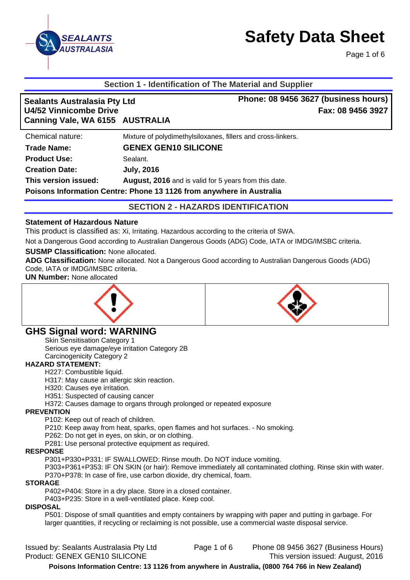

Page 1 of 6

# **Section 1 - Identification of The Material and Supplier**

| <b>Sealants Australasia Pty Ltd</b><br><b>U4/52 Vinnicombe Drive</b> | Phone: 08 9456 3627 (business hours)<br>Fax: 08 9456 3927              |
|----------------------------------------------------------------------|------------------------------------------------------------------------|
| Canning Vale, WA 6155 AUSTRALIA                                      |                                                                        |
| Chemical nature:                                                     | Mixture of polydimethylsiloxanes, fillers and cross-linkers.           |
| <b>Trade Name:</b>                                                   | <b>GENEX GEN10 SILICONE</b>                                            |
| <b>Product Use:</b>                                                  | Sealant.                                                               |
| <b>Creation Date:</b>                                                | <b>July, 2016</b>                                                      |
| This version issued:                                                 | August, 2016 and is valid for 5 years from this date.                  |
|                                                                      | Delasus Information Ocutro, Diving 40 4400 from currules of Australia. |

**Poisons Information Centre: Phone 13 1126 from anywhere in Australia** 

**SECTION 2 - HAZARDS IDENTIFICATION** 

### **Statement of Hazardous Nature**

This product is classified as: Xi, Irritating. Hazardous according to the criteria of SWA.

Not a Dangerous Good according to Australian Dangerous Goods (ADG) Code, IATA or IMDG/IMSBC criteria.

### **SUSMP Classification:** None allocated.

**ADG Classification:** None allocated. Not a Dangerous Good according to Australian Dangerous Goods (ADG) Code, IATA or IMDG/IMSBC criteria.

**UN Number:** None allocated





# **GHS Signal word: WARNING**

Skin Sensitisation Category 1 Serious eye damage/eye irritation Category 2B

Carcinogenicity Category 2

### **HAZARD STATEMENT:**

H227: Combustible liquid.

H317: May cause an allergic skin reaction.

H320: Causes eye irritation.

H351: Suspected of causing cancer

H372: Causes damage to organs through prolonged or repeated exposure

### **PREVENTION**

P102: Keep out of reach of children.

P210: Keep away from heat, sparks, open flames and hot surfaces. - No smoking.

P262: Do not get in eyes, on skin, or on clothing.

P281: Use personal protective equipment as required.

#### **RESPONSE**

P301+P330+P331: IF SWALLOWED: Rinse mouth. Do NOT induce vomiting.

P303+P361+P353: IF ON SKIN (or hair): Remove immediately all contaminated clothing. Rinse skin with water. P370+P378: In case of fire, use carbon dioxide, dry chemical, foam.

#### **STORAGE**

P402+P404: Store in a dry place. Store in a closed container.

P403+P235: Store in a well-ventilated place. Keep cool.

#### **DISPOSAL**

P501: Dispose of small quantities and empty containers by wrapping with paper and putting in garbage. For larger quantities, if recycling or reclaiming is not possible, use a commercial waste disposal service.

Issued by: Sealants Australasia Pty Ltd Page 1 of 6 Phone 08 9456 3627 (Business Hours) Product: GENEX GEN10 SILICONE This version issued: August, 2016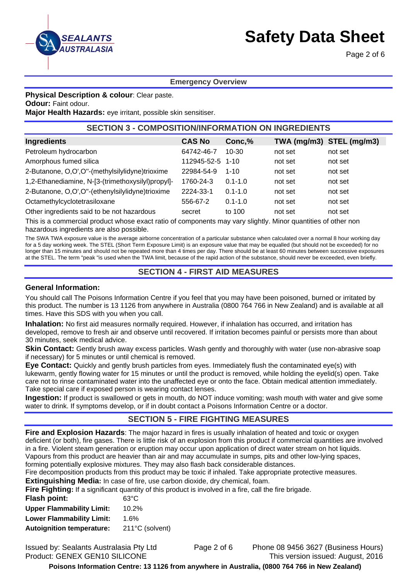

Page 2 of 6

### **Emergency Overview**

**Physical Description & colour**: Clear paste.

**Odour:** Faint odour.

**Major Health Hazards:** eye irritant, possible skin sensitiser.

# **SECTION 3 - COMPOSITION/INFORMATION ON INGREDIENTS**

| Ingredients                                       | <b>CAS No</b>    | Conc,%      |         | TWA (mg/m3) STEL (mg/m3) |
|---------------------------------------------------|------------------|-------------|---------|--------------------------|
| Petroleum hydrocarbon                             | 64742-46-7       | 10-30       | not set | not set                  |
| Amorphous fumed silica                            | 112945-52-5 1-10 |             | not set | not set                  |
| 2-Butanone, O,O',O"-(methylsilylidyne)trioxime    | 22984-54-9       | $1 - 10$    | not set | not set                  |
| 1,2-Ethanediamine, N-[3-(trimethoxysilyl)propyl]- | 1760-24-3        | $0.1 - 1.0$ | not set | not set                  |
| 2-Butanone, O,O',O"-(ethenylsilylidyne)trioxime   | 2224-33-1        | $0.1 - 1.0$ | not set | not set                  |
| Octamethylcyclotetrasiloxane                      | 556-67-2         | $0.1 - 1.0$ | not set | not set                  |
| Other ingredients said to be not hazardous        | secret           | to 100      | not set | not set                  |

This is a commercial product whose exact ratio of components may vary slightly. Minor quantities of other non hazardous ingredients are also possible.

The SWA TWA exposure value is the average airborne concentration of a particular substance when calculated over a normal 8 hour working day for a 5 day working week. The STEL (Short Term Exposure Limit) is an exposure value that may be equalled (but should not be exceeded) for no longer than 15 minutes and should not be repeated more than 4 times per day. There should be at least 60 minutes between successive exposures at the STEL. The term "peak "is used when the TWA limit, because of the rapid action of the substance, should never be exceeded, even briefly.

# **SECTION 4 - FIRST AID MEASURES**

#### **General Information:**

You should call The Poisons Information Centre if you feel that you may have been poisoned, burned or irritated by this product. The number is 13 1126 from anywhere in Australia (0800 764 766 in New Zealand) and is available at all times. Have this SDS with you when you call.

**Inhalation:** No first aid measures normally required. However, if inhalation has occurred, and irritation has developed, remove to fresh air and observe until recovered. If irritation becomes painful or persists more than about 30 minutes, seek medical advice.

**Skin Contact:** Gently brush away excess particles. Wash gently and thoroughly with water (use non-abrasive soap if necessary) for 5 minutes or until chemical is removed.

**Eye Contact:** Quickly and gently brush particles from eyes. Immediately flush the contaminated eye(s) with lukewarm, gently flowing water for 15 minutes or until the product is removed, while holding the eyelid(s) open. Take care not to rinse contaminated water into the unaffected eye or onto the face. Obtain medical attention immediately. Take special care if exposed person is wearing contact lenses.

**Ingestion:** If product is swallowed or gets in mouth, do NOT induce vomiting; wash mouth with water and give some water to drink. If symptoms develop, or if in doubt contact a Poisons Information Centre or a doctor.

# **SECTION 5 - FIRE FIGHTING MEASURES**

**Fire and Explosion Hazards**: The major hazard in fires is usually inhalation of heated and toxic or oxygen deficient (or both), fire gases. There is little risk of an explosion from this product if commercial quantities are involved in a fire. Violent steam generation or eruption may occur upon application of direct water stream on hot liquids. Vapours from this product are heavier than air and may accumulate in sumps, pits and other low-lying spaces, forming potentially explosive mixtures. They may also flash back considerable distances.

Fire decomposition products from this product may be toxic if inhaled. Take appropriate protective measures.

**Extinguishing Media:** In case of fire, use carbon dioxide, dry chemical, foam.

**Fire Fighting:** If a significant quantity of this product is involved in a fire, call the fire brigade.

| <b>Flash point:</b>              | 63°C            |
|----------------------------------|-----------------|
| <b>Upper Flammability Limit:</b> | 10.2%           |
| <b>Lower Flammability Limit:</b> | $1.6\%$         |
| <b>Autoignition temperature:</b> | 211°C (solvent) |
|                                  |                 |

Issued by: Sealants Australasia Pty Ltd Page 2 of 6 Phone 08 9456 3627 (Business Hours) Product: GENEX GEN10 SILICONE This version issued: August, 2016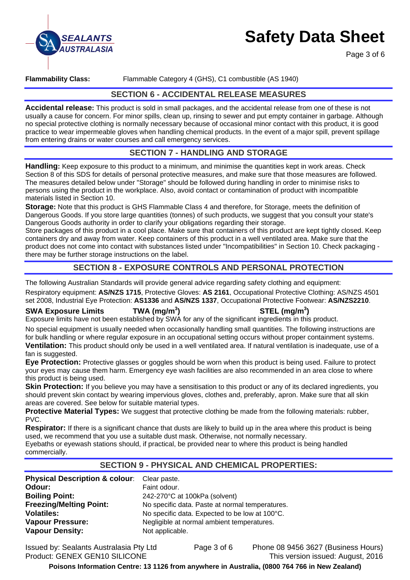

Page 3 of 6

### **Flammability Class:** Flammable Category 4 (GHS), C1 combustible (AS 1940)

# **SECTION 6 - ACCIDENTAL RELEASE MEASURES**

**Accidental release:** This product is sold in small packages, and the accidental release from one of these is not usually a cause for concern. For minor spills, clean up, rinsing to sewer and put empty container in garbage. Although no special protective clothing is normally necessary because of occasional minor contact with this product, it is good practice to wear impermeable gloves when handling chemical products. In the event of a major spill, prevent spillage from entering drains or water courses and call emergency services.

# **SECTION 7 - HANDLING AND STORAGE**

**Handling:** Keep exposure to this product to a minimum, and minimise the quantities kept in work areas. Check Section 8 of this SDS for details of personal protective measures, and make sure that those measures are followed. The measures detailed below under "Storage" should be followed during handling in order to minimise risks to persons using the product in the workplace. Also, avoid contact or contamination of product with incompatible materials listed in Section 10.

**Storage:** Note that this product is GHS Flammable Class 4 and therefore, for Storage, meets the definition of Dangerous Goods. If you store large quantities (tonnes) of such products, we suggest that you consult your state's Dangerous Goods authority in order to clarify your obligations regarding their storage.

Store packages of this product in a cool place. Make sure that containers of this product are kept tightly closed. Keep containers dry and away from water. Keep containers of this product in a well ventilated area. Make sure that the product does not come into contact with substances listed under "Incompatibilities" in Section 10. Check packaging there may be further storage instructions on the label.

# **SECTION 8 - EXPOSURE CONTROLS AND PERSONAL PROTECTION**

The following Australian Standards will provide general advice regarding safety clothing and equipment:

Respiratory equipment: **AS/NZS 1715**, Protective Gloves: **AS 2161**, Occupational Protective Clothing: AS/NZS 4501 set 2008, Industrial Eye Protection: **AS1336** and **AS/NZS 1337**, Occupational Protective Footwear: **AS/NZS2210**.

### **SWA Exposure Limits TWA (mg/m<sup>3</sup>**

### **) STEL (mg/m<sup>3</sup> )**

Exposure limits have not been established by SWA for any of the significant ingredients in this product.

No special equipment is usually needed when occasionally handling small quantities. The following instructions are for bulk handling or where regular exposure in an occupational setting occurs without proper containment systems. **Ventilation:** This product should only be used in a well ventilated area. If natural ventilation is inadequate, use of a fan is suggested.

**Eye Protection:** Protective glasses or goggles should be worn when this product is being used. Failure to protect your eyes may cause them harm. Emergency eye wash facilities are also recommended in an area close to where this product is being used.

**Skin Protection:** If you believe you may have a sensitisation to this product or any of its declared ingredients, you should prevent skin contact by wearing impervious gloves, clothes and, preferably, apron. Make sure that all skin areas are covered. See below for suitable material types.

**Protective Material Types:** We suggest that protective clothing be made from the following materials: rubber, PVC.

**Respirator:** If there is a significant chance that dusts are likely to build up in the area where this product is being used, we recommend that you use a suitable dust mask. Otherwise, not normally necessary. Eyebaths or eyewash stations should, if practical, be provided near to where this product is being handled

commercially.

# **SECTION 9 - PHYSICAL AND CHEMICAL PROPERTIES:**

| Physical Description & colour: Clear paste. |                                                 |
|---------------------------------------------|-------------------------------------------------|
| Odour:                                      | Faint odour.                                    |
| <b>Boiling Point:</b>                       | 242-270°C at 100kPa (solvent)                   |
| <b>Freezing/Melting Point:</b>              | No specific data. Paste at normal temperatures. |
| <b>Volatiles:</b>                           | No specific data. Expected to be low at 100°C.  |
| <b>Vapour Pressure:</b>                     | Negligible at normal ambient temperatures.      |
| <b>Vapour Density:</b>                      | Not applicable.                                 |

Issued by: Sealants Australasia Pty Ltd Page 3 of 6 Phone 08 9456 3627 (Business Hours) at normal ambient temperatures.

Product: GENEX GEN10 SILICONE This version issued: August, 2016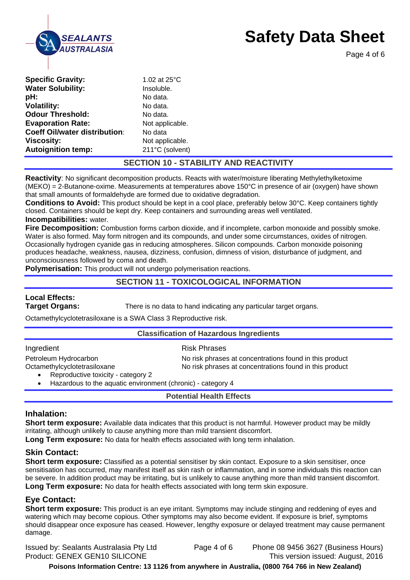

Page 4 of 6

| <b>Specific Gravity:</b>             | 1.02 at $25^{\circ}$ C |
|--------------------------------------|------------------------|
| <b>Water Solubility:</b>             | Insoluble.             |
| pH:                                  | No data.               |
| <b>Volatility:</b>                   | No data.               |
| <b>Odour Threshold:</b>              | No data.               |
| <b>Evaporation Rate:</b>             | Not applicable.        |
| <b>Coeff Oil/water distribution:</b> | No data                |
| <b>Viscosity:</b>                    | Not applicable.        |
| <b>Autoignition temp:</b>            | 211°C (solvent)        |

# **SECTION 10 - STABILITY AND REACTIVITY**

**Reactivity**: No significant decomposition products. Reacts with water/moisture liberating Methylethylketoxime (MEKO) = 2-Butanone-oxime. Measurements at temperatures above 150°C in presence of air (oxygen) have shown that small amounts of formaldehyde are formed due to oxidative degradation.

**Conditions to Avoid:** This product should be kept in a cool place, preferably below 30°C. Keep containers tightly closed. Containers should be kept dry. Keep containers and surrounding areas well ventilated. **Incompatibilities:** water.

**Fire Decomposition:** Combustion forms carbon dioxide, and if incomplete, carbon monoxide and possibly smoke. Water is also formed. May form nitrogen and its compounds, and under some circumstances, oxides of nitrogen. Occasionally hydrogen cyanide gas in reducing atmospheres. Silicon compounds. Carbon monoxide poisoning produces headache, weakness, nausea, dizziness, confusion, dimness of vision, disturbance of judgment, and unconsciousness followed by coma and death.

**Polymerisation:** This product will not undergo polymerisation reactions.

# **SECTION 11 - TOXICOLOGICAL INFORMATION**

# **Local Effects:**

**Target Organs:** There is no data to hand indicating any particular target organs.

Octamethylcyclotetrasiloxane is a SWA Class 3 Reproductive risk.

### **Classification of Hazardous Ingredients**

| Ingredient                                                         | <b>Risk Phrases</b>                                     |
|--------------------------------------------------------------------|---------------------------------------------------------|
| Petroleum Hydrocarbon                                              | No risk phrases at concentrations found in this product |
| Octamethylcyclotetrasiloxane<br>Reproductive toxicity - category 2 | No risk phrases at concentrations found in this product |

Hazardous to the aquatic environment (chronic) - category 4

### **Potential Health Effects**

### **Inhalation:**

**Short term exposure:** Available data indicates that this product is not harmful. However product may be mildly irritating, although unlikely to cause anything more than mild transient discomfort.

Long Term exposure: No data for health effects associated with long term inhalation.

### **Skin Contact:**

**Short term exposure:** Classified as a potential sensitiser by skin contact. Exposure to a skin sensitiser, once sensitisation has occurred, may manifest itself as skin rash or inflammation, and in some individuals this reaction can be severe. In addition product may be irritating, but is unlikely to cause anything more than mild transient discomfort. **Long Term exposure:** No data for health effects associated with long term skin exposure.

# **Eye Contact:**

**Short term exposure:** This product is an eye irritant. Symptoms may include stinging and reddening of eyes and watering which may become copious. Other symptoms may also become evident. If exposure is brief, symptoms should disappear once exposure has ceased. However, lengthy exposure or delayed treatment may cause permanent damage.

Issued by: Sealants Australasia Pty Ltd Page 4 of 6 Phone 08 9456 3627 (Business Hours) Product: GENEX GEN10 SILICONE This version issued: August, 2016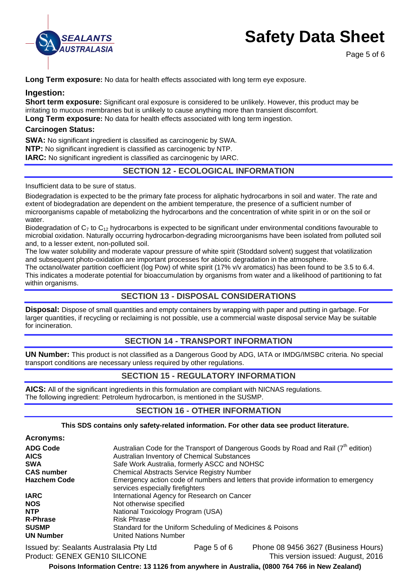

Page 5 of 6

**Long Term exposure:** No data for health effects associated with long term eve exposure.

### **Ingestion:**

**Short term exposure:** Significant oral exposure is considered to be unlikely. However, this product may be irritating to mucous membranes but is unlikely to cause anything more than transient discomfort.

**Long Term exposure:** No data for health effects associated with long term ingestion.

### **Carcinogen Status:**

**SWA:** No significant ingredient is classified as carcinogenic by SWA. **NTP:** No significant ingredient is classified as carcinogenic by NTP. **IARC:** No significant ingredient is classified as carcinogenic by IARC.

# **SECTION 12 - ECOLOGICAL INFORMATION**

Insufficient data to be sure of status.

Biodegradation is expected to be the primary fate process for aliphatic hydrocarbons in soil and water. The rate and extent of biodegradation are dependent on the ambient temperature, the presence of a sufficient number of microorganisms capable of metabolizing the hydrocarbons and the concentration of white spirit in or on the soil or water.

Biodegradation of  $C_7$  to  $C_{12}$  hydrocarbons is expected to be significant under environmental conditions favourable to microbial oxidation. Naturally occurring hydrocarbon-degrading microorganisms have been isolated from polluted soil and, to a lesser extent, non-polluted soil.

The low water solubility and moderate vapour pressure of white spirit (Stoddard solvent) suggest that volatilization and subsequent photo-oxidation are important processes for abiotic degradation in the atmosphere.

The octanol/water partition coefficient (log Pow) of white spirit (17% v/v aromatics) has been found to be 3.5 to 6.4. This indicates a moderate potential for bioaccumulation by organisms from water and a likelihood of partitioning to fat within organisms.

### **SECTION 13 - DISPOSAL CONSIDERATIONS**

**Disposal:** Dispose of small quantities and empty containers by wrapping with paper and putting in garbage. For larger quantities, if recycling or reclaiming is not possible, use a commercial waste disposal service May be suitable for incineration.

# **SECTION 14 - TRANSPORT INFORMATION**

**UN Number:** This product is not classified as a Dangerous Good by ADG, IATA or IMDG/IMSBC criteria. No special transport conditions are necessary unless required by other regulations.

### **SECTION 15 - REGULATORY INFORMATION**

**AICS:** All of the significant ingredients in this formulation are compliant with NICNAS regulations. The following ingredient: Petroleum hydrocarbon, is mentioned in the SUSMP.

### **SECTION 16 - OTHER INFORMATION**

### **This SDS contains only safety-related information. For other data see product literature.**

| <b>Acronyms:</b> |  |
|------------------|--|
|------------------|--|

| <b>ADG Code</b>     | Australian Code for the Transport of Dangerous Goods by Road and Rail $(7th$ edition)                                   |
|---------------------|-------------------------------------------------------------------------------------------------------------------------|
| <b>AICS</b>         | Australian Inventory of Chemical Substances                                                                             |
| <b>SWA</b>          | Safe Work Australia, formerly ASCC and NOHSC                                                                            |
| <b>CAS number</b>   | <b>Chemical Abstracts Service Registry Number</b>                                                                       |
| <b>Hazchem Code</b> | Emergency action code of numbers and letters that provide information to emergency<br>services especially fire fighters |
| <b>IARC</b>         | International Agency for Research on Cancer                                                                             |
| <b>NOS</b>          | Not otherwise specified                                                                                                 |
| <b>NTP</b>          | National Toxicology Program (USA)                                                                                       |
| <b>R-Phrase</b>     | <b>Risk Phrase</b>                                                                                                      |
| <b>SUSMP</b>        | Standard for the Uniform Scheduling of Medicines & Poisons                                                              |
| <b>UN Number</b>    | <b>United Nations Number</b>                                                                                            |
|                     |                                                                                                                         |

Issued by: Sealants Australasia Pty Ltd Page 5 of 6 Phone 08 9456 3627 (Business Hours) Product: GENEX GEN10 SILICONE This version issued: August, 2016